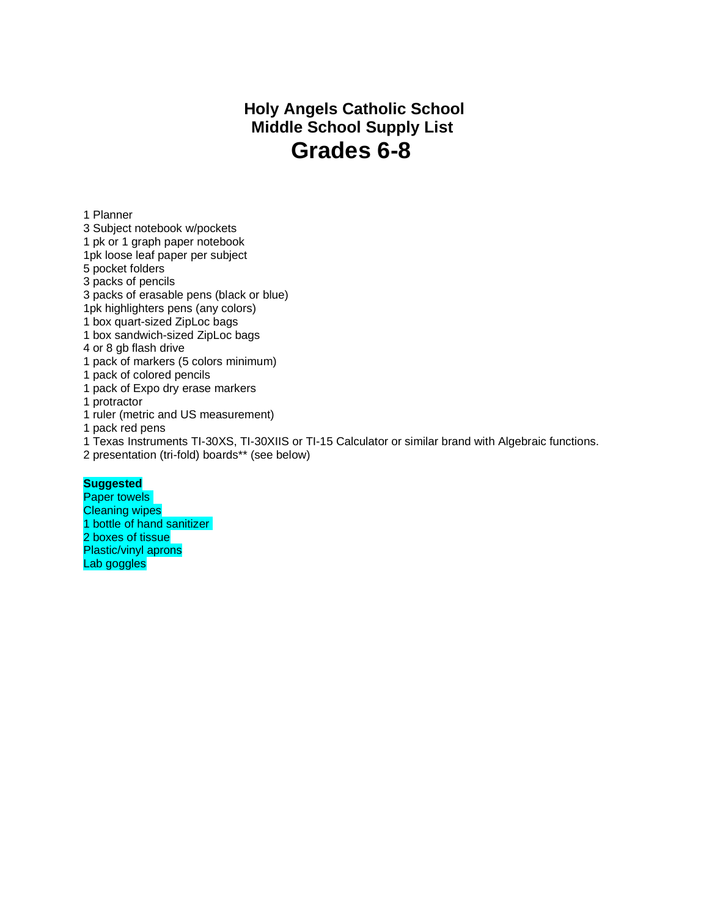## **Holy Angels Catholic School Middle School Supply List Grades 6-8**

1 Planner

3 Subject notebook w/pockets

1 pk or 1 graph paper notebook

1pk loose leaf paper per subject

5 pocket folders

3 packs of pencils

3 packs of erasable pens (black or blue)

1pk highlighters pens (any colors)

1 box quart-sized ZipLoc bags

1 box sandwich-sized ZipLoc bags

4 or 8 gb flash drive

1 pack of markers (5 colors minimum)

1 pack of colored pencils

1 pack of Expo dry erase markers

1 protractor

1 ruler (metric and US measurement)

1 pack red pens

1 Texas Instruments TI-30XS, TI-30XIIS or TI-15 Calculator or similar brand with Algebraic functions.

2 presentation (tri-fold) boards\*\* (see below)

## **Suggested**

Paper towels Cleaning wipes 1 bottle of hand sanitizer 2 boxes of tissue Plastic/vinyl aprons Lab goggles